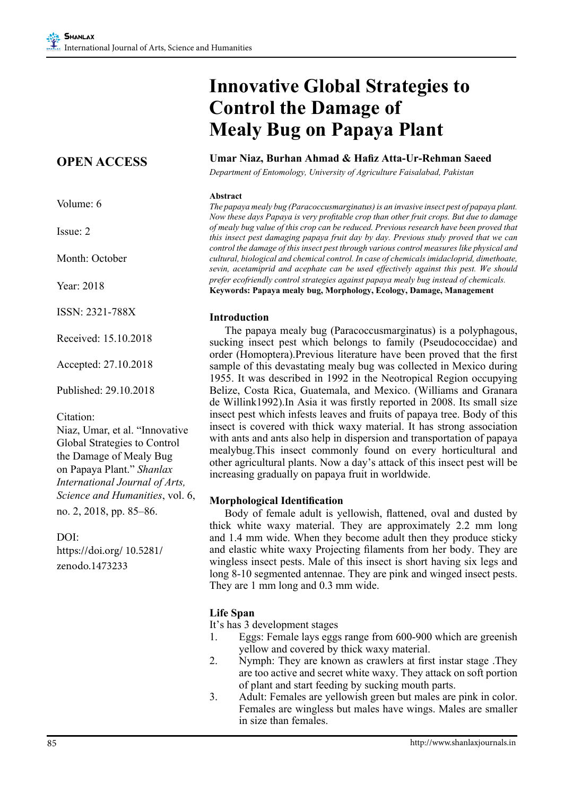**OPEN ACCESS**

Volume: 6

Issue: 2

Month: October

Year: 2018

ISSN: 2321-788X

Received: 15.10.2018

Accepted: 27.10.2018

Published: 29.10.2018

#### Citation:

Niaz, Umar, et al. "Innovative Global Strategies to Control the Damage of Mealy Bug on Papaya Plant." *Shanlax International Journal of Arts, Science and Humanities*, vol. 6, no. 2, 2018, pp. 85–86.

#### $DOI<sup>+</sup>$

https://doi.org/ 10.5281/ zenodo.1473233

# **Innovative Global Strategies to Control the Damage of Mealy Bug on Papaya Plant**

## **Umar Niaz, Burhan Ahmad & Hafiz Atta-Ur-Rehman Saeed**

*Department of Entomology, University of Agriculture Faisalabad, Pakistan*

#### **Abstract**

*The papaya mealy bug (Paracoccusmarginatus) is an invasive insect pest of papaya plant. Now these days Papaya is very profitable crop than other fruit crops. But due to damage of mealy bug value of this crop can be reduced. Previous research have been proved that this insect pest damaging papaya fruit day by day. Previous study proved that we can control the damage of this insect pest through various control measures like physical and cultural, biological and chemical control. In case of chemicals imidacloprid, dimethoate, sevin, acetamiprid and acephate can be used effectively against this pest. We should prefer ecofriendly control strategies against papaya mealy bug instead of chemicals.* **Keywords: Papaya mealy bug, Morphology, Ecology, Damage, Management**

#### **Introduction**

The papaya mealy bug (Paracoccusmarginatus) is a polyphagous, sucking insect pest which belongs to family (Pseudococcidae) and order (Homoptera).Previous literature have been proved that the first sample of this devastating mealy bug was collected in Mexico during 1955. It was described in 1992 in the Neotropical Region occupying Belize, Costa Rica, Guatemala, and Mexico. (Williams and Granara de Willink1992).In Asia it was firstly reported in 2008. Its small size insect pest which infests leaves and fruits of papaya tree. Body of this insect is covered with thick waxy material. It has strong association with ants and ants also help in dispersion and transportation of papaya mealybug.This insect commonly found on every horticultural and other agricultural plants. Now a day's attack of this insect pest will be increasing gradually on papaya fruit in worldwide.

#### **Morphological Identification**

Body of female adult is yellowish, flattened, oval and dusted by thick white waxy material. They are approximately 2.2 mm long and 1.4 mm wide. When they become adult then they produce sticky and elastic white waxy Projecting filaments from her body. They are wingless insect pests. Male of this insect is short having six legs and long 8-10 segmented antennae. They are pink and winged insect pests. They are 1 mm long and 0.3 mm wide.

#### **Life Span**

It's has 3 development stages

- 1. Eggs: Female lays eggs range from 600-900 which are greenish yellow and covered by thick waxy material.
- 2. Nymph: They are known as crawlers at first instar stage .They are too active and secret white waxy. They attack on soft portion of plant and start feeding by sucking mouth parts.
- 3. Adult: Females are yellowish green but males are pink in color. Females are wingless but males have wings. Males are smaller in size than females.